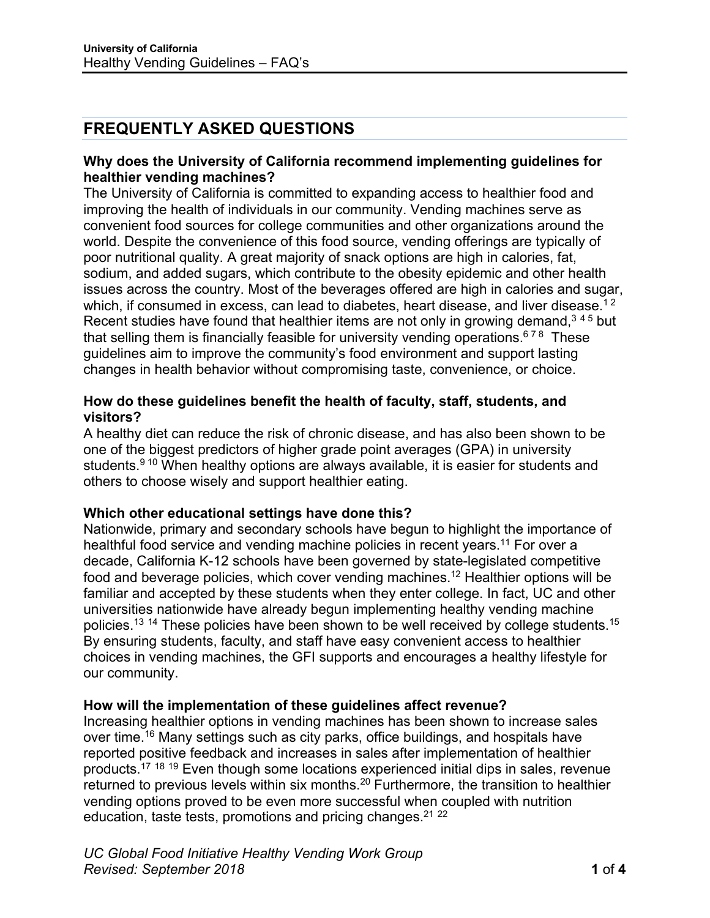# **FREQUENTLY ASKED QUESTIONS**

#### **Why does the University of California recommend implementing guidelines for healthier vending machines?**

The University of California is committed to expanding access to healthier food and improving the health of individuals in our community. Vending machines serve as convenient food sources for college communities and other organizations around the world. Despite the convenience of this food source, vending offerings are typically of poor nutritional quality. A great majority of snack options are high in calories, fat, sodium, and added sugars, which contribute to the obesity epidemic and other health issues across the country. Most of the beverages offered are high in calories and sugar, which, if consumed in excess, can lead to diabetes, heart disease, and liver disease.<sup>12</sup> Recent studies have found that healthier items are not only in growing demand,  $345$  but that selling them is financially feasible for university vending operations.<sup>678</sup> These guidelines aim to improve the community's food environment and support lasting changes in health behavior without compromising taste, convenience, or choice.

### **How do these guidelines benefit the health of faculty, staff, students, and visitors?**

A healthy diet can reduce the risk of chronic disease, and has also been shown to be one of the biggest predictors of higher grade point averages (GPA) in university students.<sup>9 10</sup> When healthy options are always available, it is easier for students and others to choose wisely and support healthier eating.

#### **Which other educational settings have done this?**

Nationwide, primary and secondary schools have begun to highlight the importance of healthful food service and vending machine policies in recent years.<sup>11</sup> For over a decade, California K-12 schools have been governed by state-legislated competitive food and beverage policies, which cover vending machines.12 Healthier options will be familiar and accepted by these students when they enter college. In fact, UC and other universities nationwide have already begun implementing healthy vending machine policies.<sup>13 14</sup> These policies have been shown to be well received by college students.<sup>15</sup> By ensuring students, faculty, and staff have easy convenient access to healthier choices in vending machines, the GFI supports and encourages a healthy lifestyle for our community.

#### **How will the implementation of these guidelines affect revenue?**

Increasing healthier options in vending machines has been shown to increase sales over time.<sup>16</sup> Many settings such as city parks, office buildings, and hospitals have reported positive feedback and increases in sales after implementation of healthier products.17 <sup>18</sup> <sup>19</sup> Even though some locations experienced initial dips in sales, revenue returned to previous levels within six months.<sup>20</sup> Furthermore, the transition to healthier vending options proved to be even more successful when coupled with nutrition education, taste tests, promotions and pricing changes. $2122$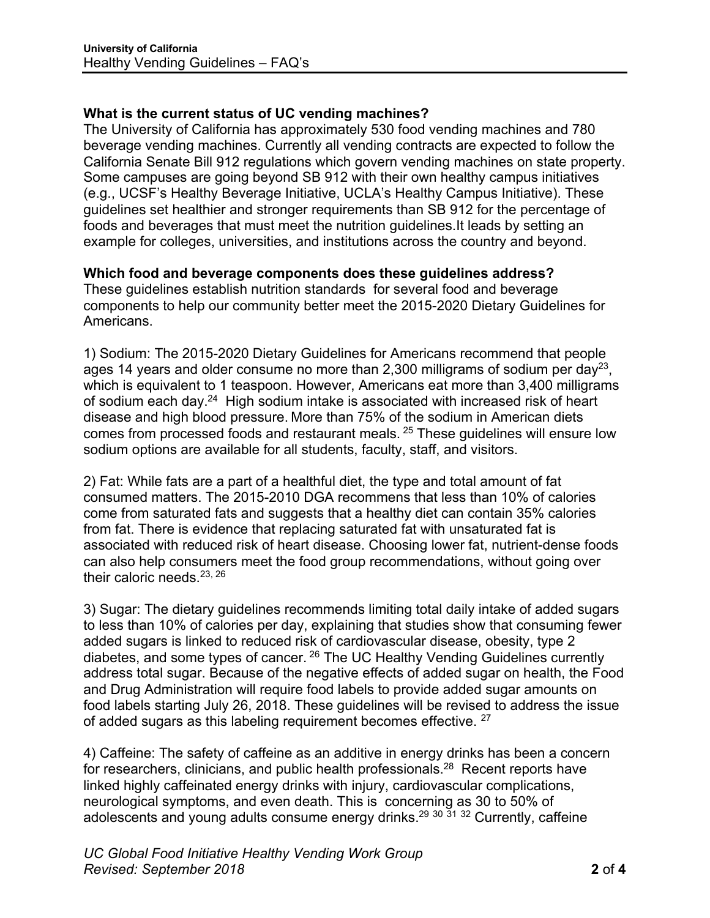## **What is the current status of UC vending machines?**

The University of California has approximately 530 food vending machines and 780 beverage vending machines. Currently all vending contracts are expected to follow the California Senate Bill 912 regulations which govern vending machines on state property. Some campuses are going beyond SB 912 with their own healthy campus initiatives (e.g., UCSF's Healthy Beverage Initiative, UCLA's Healthy Campus Initiative). These guidelines set healthier and stronger requirements than SB 912 for the percentage of foods and beverages that must meet the nutrition guidelines.It leads by setting an example for colleges, universities, and institutions across the country and beyond.

#### **Which food and beverage components does these guidelines address?**

These guidelines establish nutrition standards for several food and beverage components to help our community better meet the 2015-2020 Dietary Guidelines for Americans.

1) Sodium: The 2015-2020 Dietary Guidelines for Americans recommend that people ages 14 years and older consume no more than 2,300 milligrams of sodium per day<sup>23</sup>, which is equivalent to 1 teaspoon. However, Americans eat more than 3,400 milligrams of sodium each day.<sup>24</sup> High sodium intake is associated with increased risk of heart disease and high blood pressure. More than 75% of the sodium in American diets comes from processed foods and restaurant meals. <sup>25</sup> These guidelines will ensure low sodium options are available for all students, faculty, staff, and visitors.

2) Fat: While fats are a part of a healthful diet, the type and total amount of fat consumed matters. The 2015-2010 DGA recommens that less than 10% of calories come from saturated fats and suggests that a healthy diet can contain 35% calories from fat. There is evidence that replacing saturated fat with unsaturated fat is associated with reduced risk of heart disease. Choosing lower fat, nutrient-dense foods can also help consumers meet the food group recommendations, without going over their caloric needs.<sup>23, 26</sup>

3) Sugar: The dietary guidelines recommends limiting total daily intake of added sugars to less than 10% of calories per day, explaining that studies show that consuming fewer added sugars is linked to reduced risk of cardiovascular disease, obesity, type 2 diabetes, and some types of cancer. <sup>26</sup> The UC Healthy Vending Guidelines currently address total sugar. Because of the negative effects of added sugar on health, the Food and Drug Administration will require food labels to provide added sugar amounts on food labels starting July 26, 2018. These guidelines will be revised to address the issue of added sugars as this labeling requirement becomes effective. <sup>27</sup>

4) Caffeine: The safety of caffeine as an additive in energy drinks has been a concern for researchers, clinicians, and public health professionals.<sup>28</sup> Recent reports have linked highly caffeinated energy drinks with injury, cardiovascular complications, neurological symptoms, and even death. This is concerning as 30 to 50% of adolescents and young adults consume energy drinks.29 <sup>30</sup> <sup>31</sup> <sup>32</sup> Currently, caffeine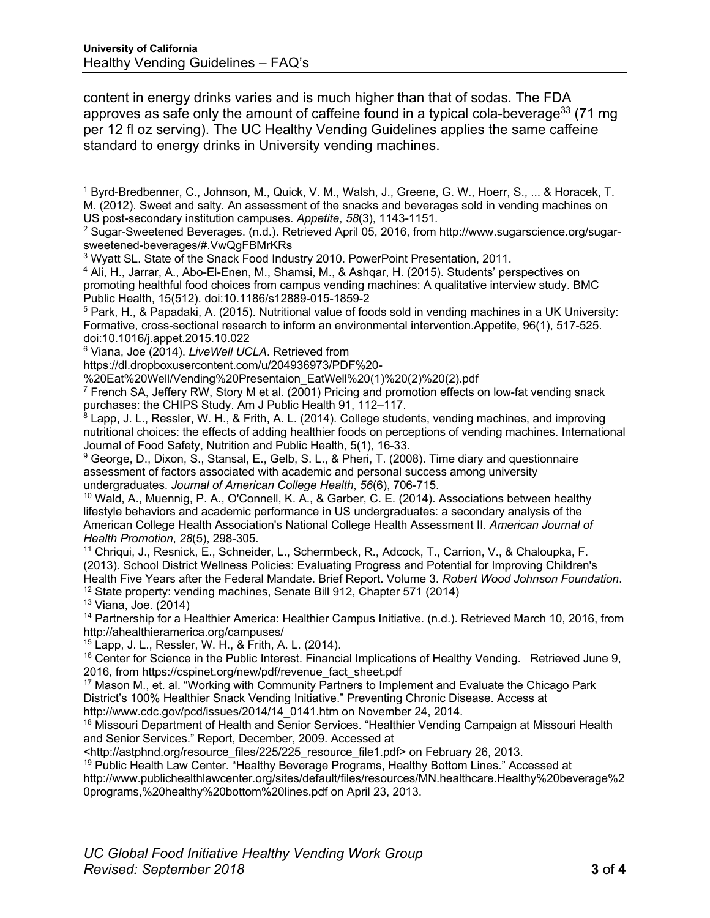content in energy drinks varies and is much higher than that of sodas. The FDA approves as safe only the amount of caffeine found in a typical cola-beverage<sup>33</sup> (71 mg) per 12 fl oz serving). The UC Healthy Vending Guidelines applies the same caffeine standard to energy drinks in University vending machines.

<sup>11</sup> Chriqui, J., Resnick, E., Schneider, L., Schermbeck, R., Adcock, T., Carrion, V., & Chaloupka, F. (2013). School District Wellness Policies: Evaluating Progress and Potential for Improving Children's Health Five Years after the Federal Mandate. Brief Report. Volume 3. *Robert Wood Johnson Foundation*. <sup>12</sup> State property: vending machines, Senate Bill 912, Chapter 571 (2014)

<sup>13</sup> Viana, Joe. (2014)

<sup>14</sup> Partnership for a Healthier America: Healthier Campus Initiative. (n.d.). Retrieved March 10, 2016, from http://ahealthieramerica.org/campuses/

<sup>15</sup> Lapp, J. L., Ressler, W. H., & Frith, A. L. (2014).

<sup>17</sup> Mason M., et. al. "Working with Community Partners to Implement and Evaluate the Chicago Park District's 100% Healthier Snack Vending Initiative." Preventing Chronic Disease. Access at http://www.cdc.gov/pcd/issues/2014/14\_0141.htm on November 24, 2014.

<sup>18</sup> Missouri Department of Health and Senior Services. "Healthier Vending Campaign at Missouri Health and Senior Services." Report, December, 2009. Accessed at

<http://astphnd.org/resource\_files/225/225\_resource\_file1.pdf> on February 26, 2013.

<sup>19</sup> Public Health Law Center. "Healthy Beverage Programs, Healthy Bottom Lines." Accessed at http://www.publichealthlawcenter.org/sites/default/files/resources/MN.healthcare.Healthy%20beverage%2 0programs,%20healthy%20bottom%20lines.pdf on April 23, 2013.

<sup>1</sup> Byrd-Bredbenner, C., Johnson, M., Quick, V. M., Walsh, J., Greene, G. W., Hoerr, S., ... & Horacek, T. M. (2012). Sweet and salty. An assessment of the snacks and beverages sold in vending machines on US post-secondary institution campuses. *Appetite*, *58*(3), 1143-1151. 1

<sup>2</sup> Sugar-Sweetened Beverages. (n.d.). Retrieved April 05, 2016, from http://www.sugarscience.org/sugarsweetened-beverages/#.VwQgFBMrKRs

<sup>3</sup> Wyatt SL. State of the Snack Food Industry 2010. PowerPoint Presentation, 2011.

<sup>4</sup> Ali, H., Jarrar, A., Abo-El-Enen, M., Shamsi, M., & Ashqar, H. (2015). Students' perspectives on promoting healthful food choices from campus vending machines: A qualitative interview study. BMC Public Health, 15(512). doi:10.1186/s12889-015-1859-2

<sup>5</sup> Park, H., & Papadaki, A. (2015). Nutritional value of foods sold in vending machines in a UK University: Formative, cross-sectional research to inform an environmental intervention.Appetite, 96(1), 517-525. doi:10.1016/j.appet.2015.10.022

<sup>6</sup> Viana, Joe (2014). *LiveWell UCLA*. Retrieved from

https://dl.dropboxusercontent.com/u/204936973/PDF%20-

<sup>%20</sup>Eat%20Well/Vending%20Presentaion\_EatWell%20(1)%20(2)%20(2).pdf

 $7$  French SA, Jeffery RW, Story M et al. (2001) Pricing and promotion effects on low-fat vending snack purchases: the CHIPS Study. Am J Public Health 91, 112–117.

<sup>&</sup>lt;sup>8</sup> Lapp, J. L., Ressler, W. H., & Frith, A. L. (2014). College students, vending machines, and improving nutritional choices: the effects of adding healthier foods on perceptions of vending machines. International Journal of Food Safety, Nutrition and Public Health, 5(1), 16-33.

<sup>&</sup>lt;sup>9</sup> George, D., Dixon, S., Stansal, E., Gelb, S. L., & Pheri, T. (2008). Time diary and questionnaire assessment of factors associated with academic and personal success among university undergraduates. *Journal of American College Health*, *56*(6), 706-715.

<sup>10</sup> Wald, A., Muennig, P. A., O'Connell, K. A., & Garber, C. E. (2014). Associations between healthy lifestyle behaviors and academic performance in US undergraduates: a secondary analysis of the American College Health Association's National College Health Assessment II. *American Journal of Health Promotion*, *28*(5), 298-305.

<sup>&</sup>lt;sup>16</sup> Center for Science in the Public Interest. Financial Implications of Healthy Vending. Retrieved June 9, 2016, from https://cspinet.org/new/pdf/revenue\_fact\_sheet.pdf